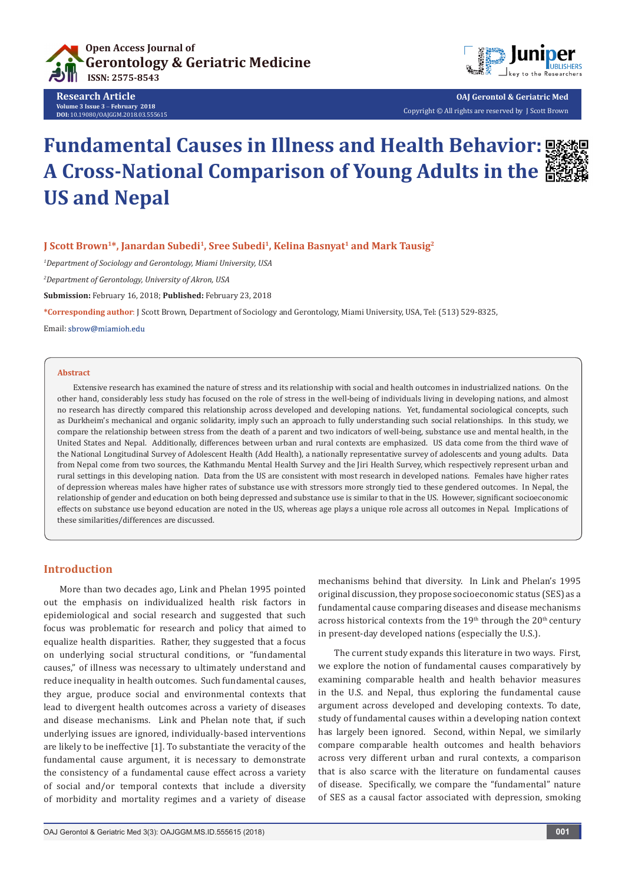

**Research Article Volume 3 Issue 3** - **February 2018 DOI:** [10.19080/OAJGGM.2018.03.555615](http://dx.doi.org/10.19080/OAJGGM.2018.03.555615
)



**OAJ Gerontol & Geriatric Med** Copyright © All rights are reserved by J Scott Brown

# **Fundamental Causes in Illness and Health Behavior: A Cross-National Comparison of Young Adults in the US and Nepal**



## **J Scott Brown<sup>1\*</sup>, Janardan Subedi<sup>1</sup>, Sree Subedi<sup>1</sup>, Kelina Basnyat<sup>1</sup> and Mark Tausig<sup>2</sup>**

*1 Department of Sociology and Gerontology, Miami University, USA*

*2 Department of Gerontology, University of Akron, USA*

**Submission:** February 16, 2018; **Published:** February 23, 2018

**\*Corresponding author**: J Scott Brown, Department of Sociology and Gerontology, Miami University, USA, Tel: (513) 529-8325,

Email: shrow@miamioh.edu

#### **Abstract**

Extensive research has examined the nature of stress and its relationship with social and health outcomes in industrialized nations. On the other hand, considerably less study has focused on the role of stress in the well-being of individuals living in developing nations, and almost no research has directly compared this relationship across developed and developing nations. Yet, fundamental sociological concepts, such as Durkheim's mechanical and organic solidarity, imply such an approach to fully understanding such social relationships. In this study, we compare the relationship between stress from the death of a parent and two indicators of well-being, substance use and mental health, in the United States and Nepal. Additionally, differences between urban and rural contexts are emphasized. US data come from the third wave of the National Longitudinal Survey of Adolescent Health (Add Health), a nationally representative survey of adolescents and young adults. Data from Nepal come from two sources, the Kathmandu Mental Health Survey and the Jiri Health Survey, which respectively represent urban and rural settings in this developing nation. Data from the US are consistent with most research in developed nations. Females have higher rates of depression whereas males have higher rates of substance use with stressors more strongly tied to these gendered outcomes. In Nepal, the relationship of gender and education on both being depressed and substance use is similar to that in the US. However, significant socioeconomic effects on substance use beyond education are noted in the US, whereas age plays a unique role across all outcomes in Nepal. Implications of these similarities/differences are discussed.

# **Introduction**

More than two decades ago, Link and Phelan 1995 pointed out the emphasis on individualized health risk factors in epidemiological and social research and suggested that such focus was problematic for research and policy that aimed to equalize health disparities. Rather, they suggested that a focus on underlying social structural conditions, or "fundamental causes," of illness was necessary to ultimately understand and reduce inequality in health outcomes. Such fundamental causes, they argue, produce social and environmental contexts that lead to divergent health outcomes across a variety of diseases and disease mechanisms. Link and Phelan note that, if such underlying issues are ignored, individually-based interventions are likely to be ineffective [1]. To substantiate the veracity of the fundamental cause argument, it is necessary to demonstrate the consistency of a fundamental cause effect across a variety of social and/or temporal contexts that include a diversity of morbidity and mortality regimes and a variety of disease mechanisms behind that diversity. In Link and Phelan's 1995 original discussion, they propose socioeconomic status (SES) as a fundamental cause comparing diseases and disease mechanisms across historical contexts from the  $19<sup>th</sup>$  through the  $20<sup>th</sup>$  century in present-day developed nations (especially the U.S.).

The current study expands this literature in two ways. First, we explore the notion of fundamental causes comparatively by examining comparable health and health behavior measures in the U.S. and Nepal, thus exploring the fundamental cause argument across developed and developing contexts. To date, study of fundamental causes within a developing nation context has largely been ignored. Second, within Nepal, we similarly compare comparable health outcomes and health behaviors across very different urban and rural contexts, a comparison that is also scarce with the literature on fundamental causes of disease. Specifically, we compare the "fundamental" nature of SES as a causal factor associated with depression, smoking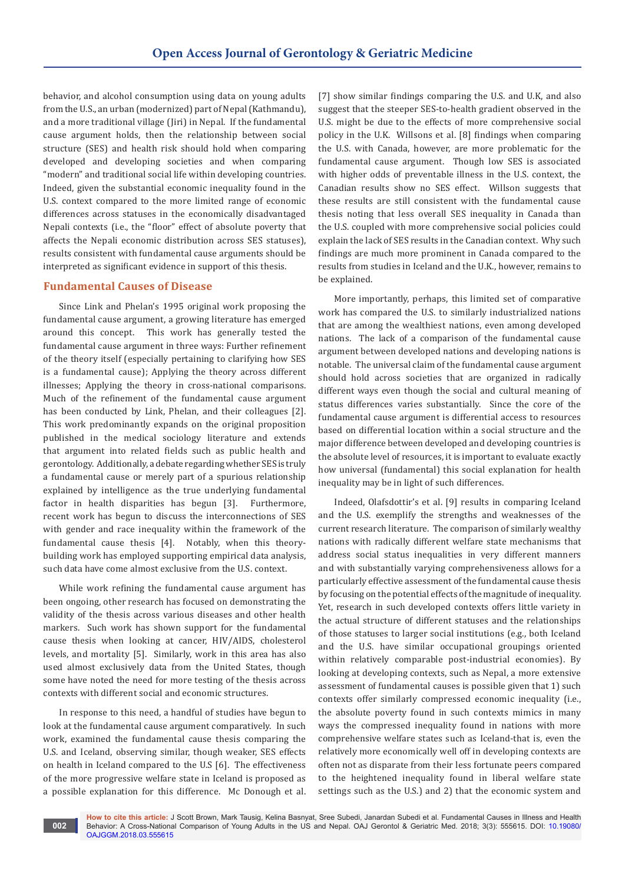behavior, and alcohol consumption using data on young adults from the U.S., an urban (modernized) part of Nepal (Kathmandu), and a more traditional village (Jiri) in Nepal. If the fundamental cause argument holds, then the relationship between social structure (SES) and health risk should hold when comparing developed and developing societies and when comparing "modern" and traditional social life within developing countries. Indeed, given the substantial economic inequality found in the U.S. context compared to the more limited range of economic differences across statuses in the economically disadvantaged Nepali contexts (i.e., the "floor" effect of absolute poverty that affects the Nepali economic distribution across SES statuses), results consistent with fundamental cause arguments should be interpreted as significant evidence in support of this thesis.

# **Fundamental Causes of Disease**

Since Link and Phelan's 1995 original work proposing the fundamental cause argument, a growing literature has emerged around this concept. This work has generally tested the fundamental cause argument in three ways: Further refinement of the theory itself (especially pertaining to clarifying how SES is a fundamental cause); Applying the theory across different illnesses; Applying the theory in cross-national comparisons. Much of the refinement of the fundamental cause argument has been conducted by Link, Phelan, and their colleagues [2]. This work predominantly expands on the original proposition published in the medical sociology literature and extends that argument into related fields such as public health and gerontology. Additionally, a debate regarding whether SES is truly a fundamental cause or merely part of a spurious relationship explained by intelligence as the true underlying fundamental factor in health disparities has begun [3]. Furthermore, recent work has begun to discuss the interconnections of SES with gender and race inequality within the framework of the fundamental cause thesis [4]. Notably, when this theorybuilding work has employed supporting empirical data analysis, such data have come almost exclusive from the U.S. context.

While work refining the fundamental cause argument has been ongoing, other research has focused on demonstrating the validity of the thesis across various diseases and other health markers. Such work has shown support for the fundamental cause thesis when looking at cancer, HIV/AIDS, cholesterol levels, and mortality [5]. Similarly, work in this area has also used almost exclusively data from the United States, though some have noted the need for more testing of the thesis across contexts with different social and economic structures.

In response to this need, a handful of studies have begun to look at the fundamental cause argument comparatively. In such work, examined the fundamental cause thesis comparing the U.S. and Iceland, observing similar, though weaker, SES effects on health in Iceland compared to the U.S [6]. The effectiveness of the more progressive welfare state in Iceland is proposed as a possible explanation for this difference. Mc Donough et al. [7] show similar findings comparing the U.S. and U.K, and also suggest that the steeper SES-to-health gradient observed in the U.S. might be due to the effects of more comprehensive social policy in the U.K. Willsons et al. [8] findings when comparing the U.S. with Canada, however, are more problematic for the fundamental cause argument. Though low SES is associated with higher odds of preventable illness in the U.S. context, the Canadian results show no SES effect. Willson suggests that these results are still consistent with the fundamental cause thesis noting that less overall SES inequality in Canada than the U.S. coupled with more comprehensive social policies could explain the lack of SES results in the Canadian context. Why such findings are much more prominent in Canada compared to the results from studies in Iceland and the U.K., however, remains to be explained.

More importantly, perhaps, this limited set of comparative work has compared the U.S. to similarly industrialized nations that are among the wealthiest nations, even among developed nations. The lack of a comparison of the fundamental cause argument between developed nations and developing nations is notable. The universal claim of the fundamental cause argument should hold across societies that are organized in radically different ways even though the social and cultural meaning of status differences varies substantially. Since the core of the fundamental cause argument is differential access to resources based on differential location within a social structure and the major difference between developed and developing countries is the absolute level of resources, it is important to evaluate exactly how universal (fundamental) this social explanation for health inequality may be in light of such differences.

Indeed, Olafsdottir's et al. [9] results in comparing Iceland and the U.S. exemplify the strengths and weaknesses of the current research literature. The comparison of similarly wealthy nations with radically different welfare state mechanisms that address social status inequalities in very different manners and with substantially varying comprehensiveness allows for a particularly effective assessment of the fundamental cause thesis by focusing on the potential effects of the magnitude of inequality. Yet, research in such developed contexts offers little variety in the actual structure of different statuses and the relationships of those statuses to larger social institutions (e.g., both Iceland and the U.S. have similar occupational groupings oriented within relatively comparable post-industrial economies). By looking at developing contexts, such as Nepal, a more extensive assessment of fundamental causes is possible given that 1) such contexts offer similarly compressed economic inequality (i.e., the absolute poverty found in such contexts mimics in many ways the compressed inequality found in nations with more comprehensive welfare states such as Iceland-that is, even the relatively more economically well off in developing contexts are often not as disparate from their less fortunate peers compared to the heightened inequality found in liberal welfare state settings such as the U.S.) and 2) that the economic system and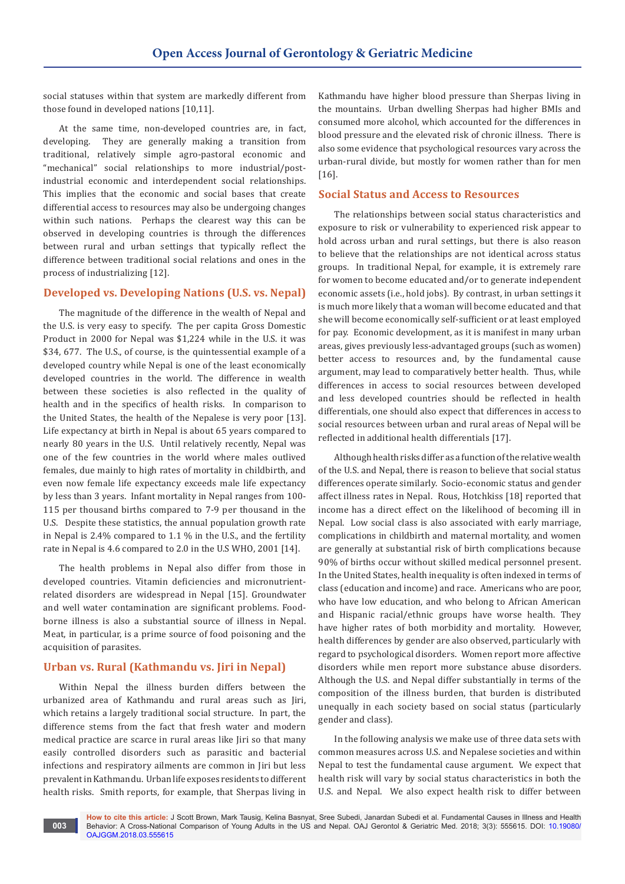social statuses within that system are markedly different from those found in developed nations [10,11].

At the same time, non-developed countries are, in fact, developing. They are generally making a transition from traditional, relatively simple agro-pastoral economic and "mechanical" social relationships to more industrial/postindustrial economic and interdependent social relationships. This implies that the economic and social bases that create differential access to resources may also be undergoing changes within such nations. Perhaps the clearest way this can be observed in developing countries is through the differences between rural and urban settings that typically reflect the difference between traditional social relations and ones in the process of industrializing [12].

# **Developed vs. Developing Nations (U.S. vs. Nepal)**

The magnitude of the difference in the wealth of Nepal and the U.S. is very easy to specify. The per capita Gross Domestic Product in 2000 for Nepal was \$1,224 while in the U.S. it was \$34, 677. The U.S., of course, is the quintessential example of a developed country while Nepal is one of the least economically developed countries in the world. The difference in wealth between these societies is also reflected in the quality of health and in the specifics of health risks. In comparison to the United States, the health of the Nepalese is very poor [13]. Life expectancy at birth in Nepal is about 65 years compared to nearly 80 years in the U.S. Until relatively recently, Nepal was one of the few countries in the world where males outlived females, due mainly to high rates of mortality in childbirth, and even now female life expectancy exceeds male life expectancy by less than 3 years. Infant mortality in Nepal ranges from 100- 115 per thousand births compared to 7-9 per thousand in the U.S. Despite these statistics, the annual population growth rate in Nepal is 2.4% compared to 1.1 % in the U.S., and the fertility rate in Nepal is 4.6 compared to 2.0 in the U.S WHO, 2001 [14].

The health problems in Nepal also differ from those in developed countries. Vitamin deficiencies and micronutrientrelated disorders are widespread in Nepal [15]. Groundwater and well water contamination are significant problems. Foodborne illness is also a substantial source of illness in Nepal. Meat, in particular, is a prime source of food poisoning and the acquisition of parasites.

# **Urban vs. Rural (Kathmandu vs. Jiri in Nepal)**

Within Nepal the illness burden differs between the urbanized area of Kathmandu and rural areas such as Jiri, which retains a largely traditional social structure. In part, the difference stems from the fact that fresh water and modern medical practice are scarce in rural areas like Jiri so that many easily controlled disorders such as parasitic and bacterial infections and respiratory ailments are common in Jiri but less prevalent in Kathmandu. Urban life exposes residents to different health risks. Smith reports, for example, that Sherpas living in

Kathmandu have higher blood pressure than Sherpas living in the mountains. Urban dwelling Sherpas had higher BMIs and consumed more alcohol, which accounted for the differences in blood pressure and the elevated risk of chronic illness. There is also some evidence that psychological resources vary across the urban-rural divide, but mostly for women rather than for men [16].

# **Social Status and Access to Resources**

The relationships between social status characteristics and exposure to risk or vulnerability to experienced risk appear to hold across urban and rural settings, but there is also reason to believe that the relationships are not identical across status groups. In traditional Nepal, for example, it is extremely rare for women to become educated and/or to generate independent economic assets (i.e., hold jobs). By contrast, in urban settings it is much more likely that a woman will become educated and that she will become economically self-sufficient or at least employed for pay. Economic development, as it is manifest in many urban areas, gives previously less-advantaged groups (such as women) better access to resources and, by the fundamental cause argument, may lead to comparatively better health. Thus, while differences in access to social resources between developed and less developed countries should be reflected in health differentials, one should also expect that differences in access to social resources between urban and rural areas of Nepal will be reflected in additional health differentials [17].

Although health risks differ as a function of the relative wealth of the U.S. and Nepal, there is reason to believe that social status differences operate similarly. Socio-economic status and gender affect illness rates in Nepal. Rous, Hotchkiss [18] reported that income has a direct effect on the likelihood of becoming ill in Nepal. Low social class is also associated with early marriage, complications in childbirth and maternal mortality, and women are generally at substantial risk of birth complications because 90% of births occur without skilled medical personnel present. In the United States, health inequality is often indexed in terms of class (education and income) and race. Americans who are poor, who have low education, and who belong to African American and Hispanic racial/ethnic groups have worse health. They have higher rates of both morbidity and mortality. However, health differences by gender are also observed, particularly with regard to psychological disorders. Women report more affective disorders while men report more substance abuse disorders. Although the U.S. and Nepal differ substantially in terms of the composition of the illness burden, that burden is distributed unequally in each society based on social status (particularly gender and class).

In the following analysis we make use of three data sets with common measures across U.S. and Nepalese societies and within Nepal to test the fundamental cause argument. We expect that health risk will vary by social status characteristics in both the U.S. and Nepal. We also expect health risk to differ between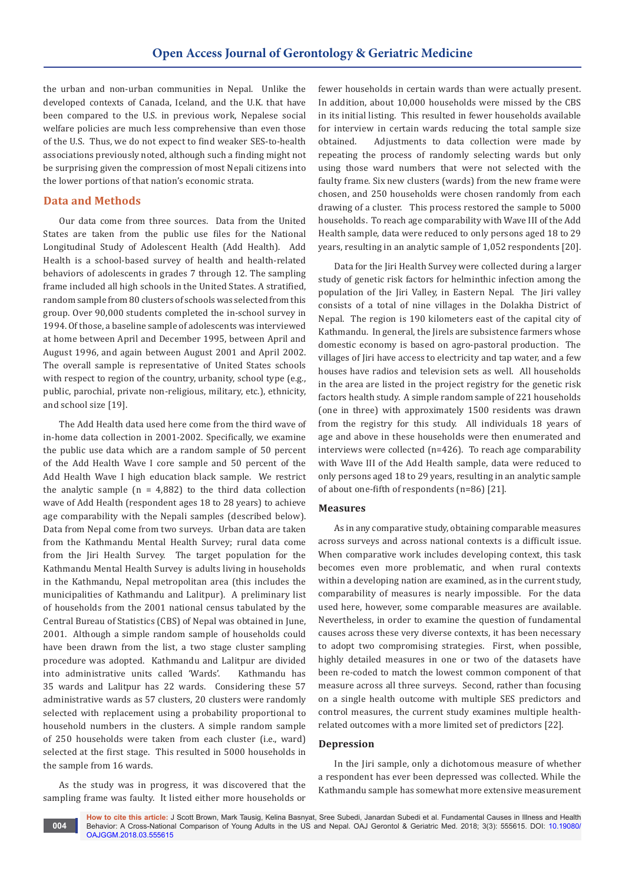the urban and non-urban communities in Nepal. Unlike the developed contexts of Canada, Iceland, and the U.K. that have been compared to the U.S. in previous work, Nepalese social welfare policies are much less comprehensive than even those of the U.S. Thus, we do not expect to find weaker SES-to-health associations previously noted, although such a finding might not be surprising given the compression of most Nepali citizens into the lower portions of that nation's economic strata.

# **Data and Methods**

Our data come from three sources. Data from the United States are taken from the public use files for the National Longitudinal Study of Adolescent Health (Add Health). Add Health is a school-based survey of health and health-related behaviors of adolescents in grades 7 through 12. The sampling frame included all high schools in the United States. A stratified, random sample from 80 clusters of schools was selected from this group. Over 90,000 students completed the in-school survey in 1994. Of those, a baseline sample of adolescents was interviewed at home between April and December 1995, between April and August 1996, and again between August 2001 and April 2002. The overall sample is representative of United States schools with respect to region of the country, urbanity, school type (e.g., public, parochial, private non-religious, military, etc.), ethnicity, and school size [19].

The Add Health data used here come from the third wave of in-home data collection in 2001-2002. Specifically, we examine the public use data which are a random sample of 50 percent of the Add Health Wave I core sample and 50 percent of the Add Health Wave I high education black sample. We restrict the analytic sample  $(n = 4,882)$  to the third data collection wave of Add Health (respondent ages 18 to 28 years) to achieve age comparability with the Nepali samples (described below). Data from Nepal come from two surveys. Urban data are taken from the Kathmandu Mental Health Survey; rural data come from the Jiri Health Survey. The target population for the Kathmandu Mental Health Survey is adults living in households in the Kathmandu, Nepal metropolitan area (this includes the municipalities of Kathmandu and Lalitpur). A preliminary list of households from the 2001 national census tabulated by the Central Bureau of Statistics (CBS) of Nepal was obtained in June, 2001. Although a simple random sample of households could have been drawn from the list, a two stage cluster sampling procedure was adopted. Kathmandu and Lalitpur are divided into administrative units called 'Wards'. Kathmandu has 35 wards and Lalitpur has 22 wards. Considering these 57 administrative wards as 57 clusters, 20 clusters were randomly selected with replacement using a probability proportional to household numbers in the clusters. A simple random sample of 250 households were taken from each cluster (i.e., ward) selected at the first stage. This resulted in 5000 households in the sample from 16 wards.

As the study was in progress, it was discovered that the sampling frame was faulty. It listed either more households or fewer households in certain wards than were actually present. In addition, about 10,000 households were missed by the CBS in its initial listing. This resulted in fewer households available for interview in certain wards reducing the total sample size obtained. Adjustments to data collection were made by repeating the process of randomly selecting wards but only using those ward numbers that were not selected with the faulty frame. Six new clusters (wards) from the new frame were chosen, and 250 households were chosen randomly from each drawing of a cluster. This process restored the sample to 5000 households. To reach age comparability with Wave III of the Add Health sample, data were reduced to only persons aged 18 to 29 years, resulting in an analytic sample of 1,052 respondents [20].

Data for the Jiri Health Survey were collected during a larger study of genetic risk factors for helminthic infection among the population of the Jiri Valley, in Eastern Nepal. The Jiri valley consists of a total of nine villages in the Dolakha District of Nepal. The region is 190 kilometers east of the capital city of Kathmandu. In general, the Jirels are subsistence farmers whose domestic economy is based on agro-pastoral production. The villages of Jiri have access to electricity and tap water, and a few houses have radios and television sets as well. All households in the area are listed in the project registry for the genetic risk factors health study. A simple random sample of 221 households (one in three) with approximately 1500 residents was drawn from the registry for this study. All individuals 18 years of age and above in these households were then enumerated and interviews were collected (n=426). To reach age comparability with Wave III of the Add Health sample, data were reduced to only persons aged 18 to 29 years, resulting in an analytic sample of about one-fifth of respondents (n=86) [21].

## **Measures**

As in any comparative study, obtaining comparable measures across surveys and across national contexts is a difficult issue. When comparative work includes developing context, this task becomes even more problematic, and when rural contexts within a developing nation are examined, as in the current study, comparability of measures is nearly impossible. For the data used here, however, some comparable measures are available. Nevertheless, in order to examine the question of fundamental causes across these very diverse contexts, it has been necessary to adopt two compromising strategies. First, when possible, highly detailed measures in one or two of the datasets have been re-coded to match the lowest common component of that measure across all three surveys. Second, rather than focusing on a single health outcome with multiple SES predictors and control measures, the current study examines multiple healthrelated outcomes with a more limited set of predictors [22].

#### **Depression**

In the Jiri sample, only a dichotomous measure of whether a respondent has ever been depressed was collected. While the Kathmandu sample has somewhat more extensive measurement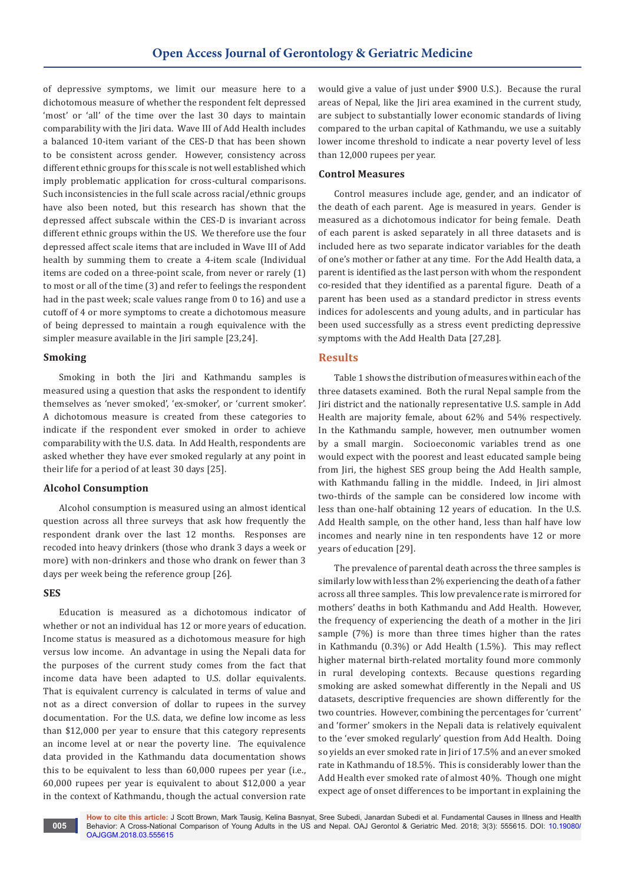of depressive symptoms, we limit our measure here to a dichotomous measure of whether the respondent felt depressed 'most' or 'all' of the time over the last 30 days to maintain comparability with the Jiri data. Wave III of Add Health includes a balanced 10-item variant of the CES-D that has been shown to be consistent across gender. However, consistency across different ethnic groups for this scale is not well established which imply problematic application for cross-cultural comparisons. Such inconsistencies in the full scale across racial/ethnic groups have also been noted, but this research has shown that the depressed affect subscale within the CES-D is invariant across different ethnic groups within the US. We therefore use the four depressed affect scale items that are included in Wave III of Add health by summing them to create a 4-item scale (Individual items are coded on a three-point scale, from never or rarely (1) to most or all of the time (3) and refer to feelings the respondent had in the past week; scale values range from 0 to 16) and use a cutoff of 4 or more symptoms to create a dichotomous measure of being depressed to maintain a rough equivalence with the simpler measure available in the Jiri sample [23,24].

## **Smoking**

Smoking in both the Jiri and Kathmandu samples is measured using a question that asks the respondent to identify themselves as 'never smoked', 'ex-smoker', or 'current smoker'. A dichotomous measure is created from these categories to indicate if the respondent ever smoked in order to achieve comparability with the U.S. data. In Add Health, respondents are asked whether they have ever smoked regularly at any point in their life for a period of at least 30 days [25].

#### **Alcohol Consumption**

Alcohol consumption is measured using an almost identical question across all three surveys that ask how frequently the respondent drank over the last 12 months. Responses are recoded into heavy drinkers (those who drank 3 days a week or more) with non-drinkers and those who drank on fewer than 3 days per week being the reference group [26].

# **SES**

Education is measured as a dichotomous indicator of whether or not an individual has 12 or more years of education. Income status is measured as a dichotomous measure for high versus low income. An advantage in using the Nepali data for the purposes of the current study comes from the fact that income data have been adapted to U.S. dollar equivalents. That is equivalent currency is calculated in terms of value and not as a direct conversion of dollar to rupees in the survey documentation. For the U.S. data, we define low income as less than \$12,000 per year to ensure that this category represents an income level at or near the poverty line. The equivalence data provided in the Kathmandu data documentation shows this to be equivalent to less than 60,000 rupees per year (i.e., 60,000 rupees per year is equivalent to about \$12,000 a year in the context of Kathmandu, though the actual conversion rate

would give a value of just under \$900 U.S.). Because the rural areas of Nepal, like the Jiri area examined in the current study, are subject to substantially lower economic standards of living compared to the urban capital of Kathmandu, we use a suitably lower income threshold to indicate a near poverty level of less than 12,000 rupees per year.

#### **Control Measures**

Control measures include age, gender, and an indicator of the death of each parent. Age is measured in years. Gender is measured as a dichotomous indicator for being female. Death of each parent is asked separately in all three datasets and is included here as two separate indicator variables for the death of one's mother or father at any time. For the Add Health data, a parent is identified as the last person with whom the respondent co-resided that they identified as a parental figure. Death of a parent has been used as a standard predictor in stress events indices for adolescents and young adults, and in particular has been used successfully as a stress event predicting depressive symptoms with the Add Health Data [27,28].

#### **Results**

Table 1 shows the distribution of measures within each of the three datasets examined. Both the rural Nepal sample from the Jiri district and the nationally representative U.S. sample in Add Health are majority female, about 62% and 54% respectively. In the Kathmandu sample, however, men outnumber women by a small margin. Socioeconomic variables trend as one would expect with the poorest and least educated sample being from Jiri, the highest SES group being the Add Health sample, with Kathmandu falling in the middle. Indeed, in Jiri almost two-thirds of the sample can be considered low income with less than one-half obtaining 12 years of education. In the U.S. Add Health sample, on the other hand, less than half have low incomes and nearly nine in ten respondents have 12 or more years of education [29].

The prevalence of parental death across the three samples is similarly low with less than 2% experiencing the death of a father across all three samples. This low prevalence rate is mirrored for mothers' deaths in both Kathmandu and Add Health. However, the frequency of experiencing the death of a mother in the Jiri sample (7%) is more than three times higher than the rates in Kathmandu (0.3%) or Add Health (1.5%). This may reflect higher maternal birth-related mortality found more commonly in rural developing contexts. Because questions regarding smoking are asked somewhat differently in the Nepali and US datasets, descriptive frequencies are shown differently for the two countries. However, combining the percentages for 'current' and 'former' smokers in the Nepali data is relatively equivalent to the 'ever smoked regularly' question from Add Health. Doing so yields an ever smoked rate in Jiri of 17.5% and an ever smoked rate in Kathmandu of 18.5%. This is considerably lower than the Add Health ever smoked rate of almost 40%. Though one might expect age of onset differences to be important in explaining the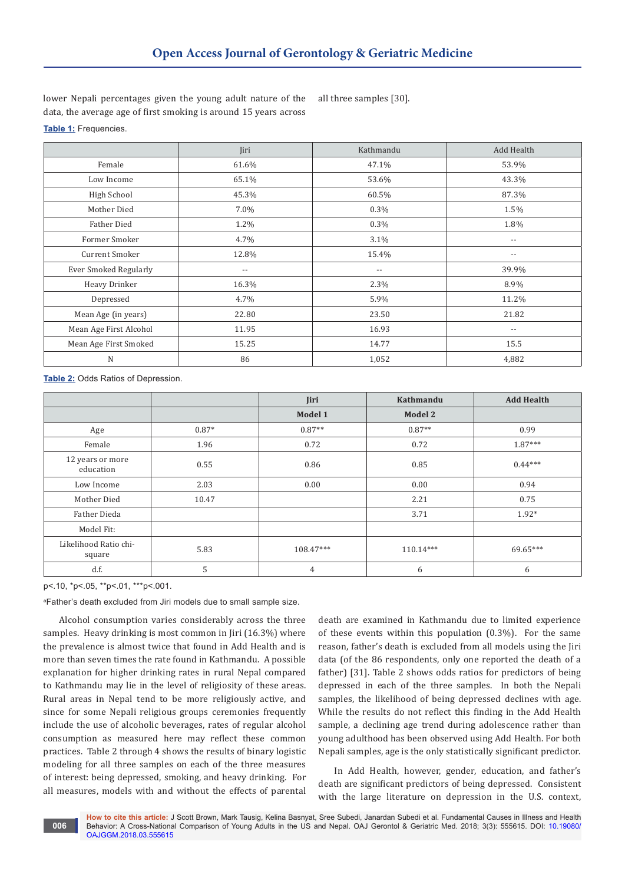lower Nepali percentages given the young adult nature of the data, the average age of first smoking is around 15 years across

all three samples [30].

**Table 1:** Frequencies.

|                              | Jiri  | Kathmandu                  | Add Health               |
|------------------------------|-------|----------------------------|--------------------------|
| Female                       | 61.6% | 47.1%                      | 53.9%                    |
| Low Income                   | 65.1% | 53.6%                      | 43.3%                    |
| High School                  | 45.3% | 60.5%                      | 87.3%                    |
| Mother Died                  | 7.0%  | $0.3\%$                    | 1.5%                     |
| <b>Father Died</b>           | 1.2%  | $0.3\%$                    | 1.8%                     |
| Former Smoker                | 4.7%  | 3.1%                       | $- -$                    |
| Current Smoker               | 12.8% | 15.4%                      | $\overline{\phantom{a}}$ |
| <b>Ever Smoked Regularly</b> | $- -$ | $\overline{\phantom{a}}$ . | 39.9%                    |
| Heavy Drinker                | 16.3% | 2.3%                       | 8.9%                     |
| Depressed                    | 4.7%  | 5.9%                       | 11.2%                    |
| Mean Age (in years)          | 22.80 | 23.50                      | 21.82                    |
| Mean Age First Alcohol       | 11.95 | 16.93                      | $\overline{\phantom{a}}$ |
| Mean Age First Smoked        | 15.25 | 14.77                      | 15.5                     |
| N                            | 86    | 1,052                      | 4,882                    |

**Table 2:** Odds Ratios of Depression.

|                                 |         | Jiri           | Kathmandu | <b>Add Health</b> |
|---------------------------------|---------|----------------|-----------|-------------------|
|                                 |         | Model 1        | Model 2   |                   |
| Age                             | $0.87*$ | $0.87**$       | $0.87**$  | 0.99              |
| Female                          | 1.96    | 0.72           | 0.72      | $1.87***$         |
| 12 years or more<br>education   | 0.55    | 0.86           | 0.85      | $0.44***$         |
| Low Income                      | 2.03    | 0.00           | 0.00      | 0.94              |
| Mother Died                     | 10.47   |                | 2.21      | 0.75              |
| Father Dieda                    |         |                | 3.71      | $1.92*$           |
| Model Fit:                      |         |                |           |                   |
| Likelihood Ratio chi-<br>square | 5.83    | 108.47***      | 110.14*** | 69.65***          |
| d.f.                            | 5       | $\overline{4}$ | 6         | 6                 |

p<.10, \*p<.05, \*\*p<.01, \*\*\*p<.001.

a Father's death excluded from Jiri models due to small sample size.

Alcohol consumption varies considerably across the three samples. Heavy drinking is most common in Jiri (16.3%) where the prevalence is almost twice that found in Add Health and is more than seven times the rate found in Kathmandu. A possible explanation for higher drinking rates in rural Nepal compared to Kathmandu may lie in the level of religiosity of these areas. Rural areas in Nepal tend to be more religiously active, and since for some Nepali religious groups ceremonies frequently include the use of alcoholic beverages, rates of regular alcohol consumption as measured here may reflect these common practices. Table 2 through 4 shows the results of binary logistic modeling for all three samples on each of the three measures of interest: being depressed, smoking, and heavy drinking. For all measures, models with and without the effects of parental death are examined in Kathmandu due to limited experience of these events within this population (0.3%). For the same reason, father's death is excluded from all models using the Jiri data (of the 86 respondents, only one reported the death of a father) [31]. Table 2 shows odds ratios for predictors of being depressed in each of the three samples. In both the Nepali samples, the likelihood of being depressed declines with age. While the results do not reflect this finding in the Add Health sample, a declining age trend during adolescence rather than young adulthood has been observed using Add Health. For both Nepali samples, age is the only statistically significant predictor.

In Add Health, however, gender, education, and father's death are significant predictors of being depressed. Consistent with the large literature on depression in the U.S. context,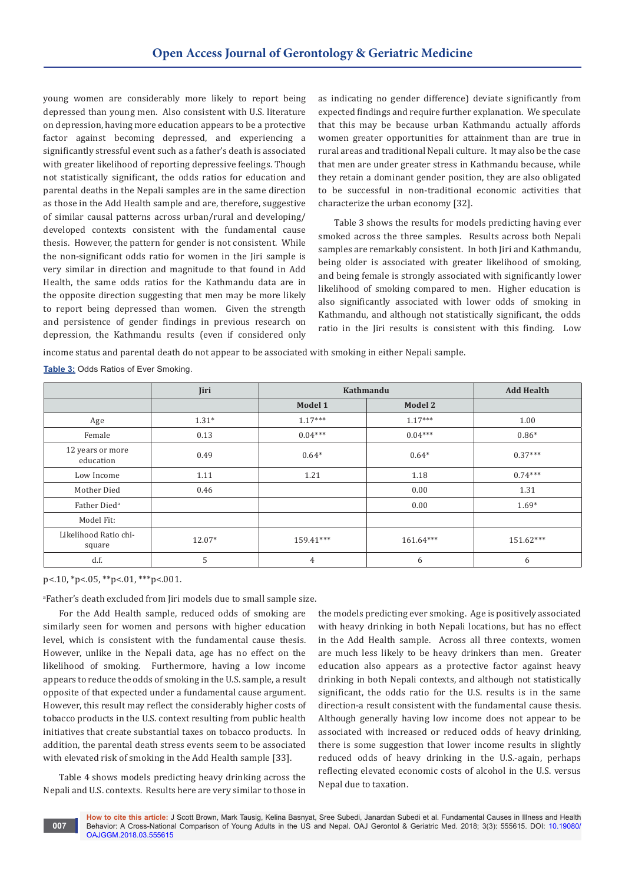young women are considerably more likely to report being depressed than young men. Also consistent with U.S. literature on depression, having more education appears to be a protective factor against becoming depressed, and experiencing a significantly stressful event such as a father's death is associated with greater likelihood of reporting depressive feelings. Though not statistically significant, the odds ratios for education and parental deaths in the Nepali samples are in the same direction as those in the Add Health sample and are, therefore, suggestive of similar causal patterns across urban/rural and developing/ developed contexts consistent with the fundamental cause thesis. However, the pattern for gender is not consistent. While the non-significant odds ratio for women in the Jiri sample is very similar in direction and magnitude to that found in Add Health, the same odds ratios for the Kathmandu data are in the opposite direction suggesting that men may be more likely to report being depressed than women. Given the strength and persistence of gender findings in previous research on depression, the Kathmandu results (even if considered only as indicating no gender difference) deviate significantly from expected findings and require further explanation. We speculate that this may be because urban Kathmandu actually affords women greater opportunities for attainment than are true in rural areas and traditional Nepali culture. It may also be the case that men are under greater stress in Kathmandu because, while they retain a dominant gender position, they are also obligated to be successful in non-traditional economic activities that characterize the urban economy [32].

Table 3 shows the results for models predicting having ever smoked across the three samples. Results across both Nepali samples are remarkably consistent. In both Jiri and Kathmandu, being older is associated with greater likelihood of smoking, and being female is strongly associated with significantly lower likelihood of smoking compared to men. Higher education is also significantly associated with lower odds of smoking in Kathmandu, and although not statistically significant, the odds ratio in the Jiri results is consistent with this finding. Low

income status and parental death do not appear to be associated with smoking in either Nepali sample.

**Table 3:** Odds Ratios of Ever Smoking.

|                                 | Jiri    | Kathmandu      |           | <b>Add Health</b> |
|---------------------------------|---------|----------------|-----------|-------------------|
|                                 |         | Model 1        | Model 2   |                   |
| Age                             | $1.31*$ | $1.17***$      | $1.17***$ | 1.00              |
| Female                          | 0.13    | $0.04***$      | $0.04***$ | $0.86*$           |
| 12 years or more<br>education   | 0.49    | $0.64*$        | $0.64*$   | $0.37***$         |
| Low Income                      | 1.11    | 1.21           | 1.18      | $0.74***$         |
| Mother Died                     | 0.46    |                | 0.00      | 1.31              |
| Father Died <sup>a</sup>        |         |                | 0.00      | $1.69*$           |
| Model Fit:                      |         |                |           |                   |
| Likelihood Ratio chi-<br>square | 12.07*  | 159.41***      | 161.64*** | 151.62***         |
| d.f.                            | 5       | $\overline{4}$ | 6         | 6                 |

p<.10, \*p<.05, \*\*p<.01, \*\*\*p<.001.

a Father's death excluded from Jiri models due to small sample size.

For the Add Health sample, reduced odds of smoking are similarly seen for women and persons with higher education level, which is consistent with the fundamental cause thesis. However, unlike in the Nepali data, age has no effect on the likelihood of smoking. Furthermore, having a low income appears to reduce the odds of smoking in the U.S. sample, a result opposite of that expected under a fundamental cause argument. However, this result may reflect the considerably higher costs of tobacco products in the U.S. context resulting from public health initiatives that create substantial taxes on tobacco products. In addition, the parental death stress events seem to be associated with elevated risk of smoking in the Add Health sample [33].

Table 4 shows models predicting heavy drinking across the Nepali and U.S. contexts. Results here are very similar to those in the models predicting ever smoking. Age is positively associated with heavy drinking in both Nepali locations, but has no effect in the Add Health sample. Across all three contexts, women are much less likely to be heavy drinkers than men. Greater education also appears as a protective factor against heavy drinking in both Nepali contexts, and although not statistically significant, the odds ratio for the U.S. results is in the same direction-a result consistent with the fundamental cause thesis. Although generally having low income does not appear to be associated with increased or reduced odds of heavy drinking, there is some suggestion that lower income results in slightly reduced odds of heavy drinking in the U.S.-again, perhaps reflecting elevated economic costs of alcohol in the U.S. versus Nepal due to taxation.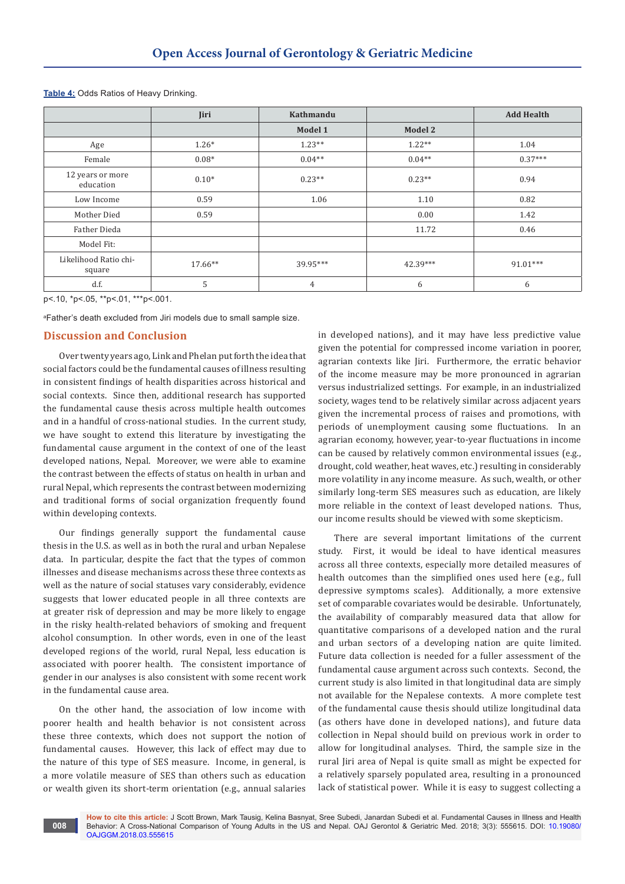|                                 | Jiri      | Kathmandu |          | <b>Add Health</b> |
|---------------------------------|-----------|-----------|----------|-------------------|
|                                 |           | Model 1   | Model 2  |                   |
| Age                             | $1.26*$   | $1.23**$  | $1.22**$ | 1.04              |
| Female                          | $0.08*$   | $0.04**$  | $0.04**$ | $0.37***$         |
| 12 years or more<br>education   | $0.10*$   | $0.23**$  | $0.23**$ | 0.94              |
| Low Income                      | 0.59      | 1.06      | 1.10     | 0.82              |
| Mother Died                     | 0.59      |           | 0.00     | 1.42              |
| Father Dieda                    |           |           | 11.72    | 0.46              |
| Model Fit:                      |           |           |          |                   |
| Likelihood Ratio chi-<br>square | $17.66**$ | 39.95***  | 42.39*** | 91.01***          |
| d.f.                            | 5         | 4         | 6        | 6                 |

**Table 4:** Odds Ratios of Heavy Drinking.

p<.10, \*p<.05, \*\*p<.01, \*\*\*p<.001.

a Father's death excluded from Jiri models due to small sample size.

# **Discussion and Conclusion**

Over twenty years ago, Link and Phelan put forth the idea that social factors could be the fundamental causes of illness resulting in consistent findings of health disparities across historical and social contexts. Since then, additional research has supported the fundamental cause thesis across multiple health outcomes and in a handful of cross-national studies. In the current study, we have sought to extend this literature by investigating the fundamental cause argument in the context of one of the least developed nations, Nepal. Moreover, we were able to examine the contrast between the effects of status on health in urban and rural Nepal, which represents the contrast between modernizing and traditional forms of social organization frequently found within developing contexts.

Our findings generally support the fundamental cause thesis in the U.S. as well as in both the rural and urban Nepalese data. In particular, despite the fact that the types of common illnesses and disease mechanisms across these three contexts as well as the nature of social statuses vary considerably, evidence suggests that lower educated people in all three contexts are at greater risk of depression and may be more likely to engage in the risky health-related behaviors of smoking and frequent alcohol consumption. In other words, even in one of the least developed regions of the world, rural Nepal, less education is associated with poorer health. The consistent importance of gender in our analyses is also consistent with some recent work in the fundamental cause area.

On the other hand, the association of low income with poorer health and health behavior is not consistent across these three contexts, which does not support the notion of fundamental causes. However, this lack of effect may due to the nature of this type of SES measure. Income, in general, is a more volatile measure of SES than others such as education or wealth given its short-term orientation (e.g., annual salaries

in developed nations), and it may have less predictive value given the potential for compressed income variation in poorer, agrarian contexts like Jiri. Furthermore, the erratic behavior of the income measure may be more pronounced in agrarian versus industrialized settings. For example, in an industrialized society, wages tend to be relatively similar across adjacent years given the incremental process of raises and promotions, with periods of unemployment causing some fluctuations. In an agrarian economy, however, year-to-year fluctuations in income can be caused by relatively common environmental issues (e.g., drought, cold weather, heat waves, etc.) resulting in considerably more volatility in any income measure. As such, wealth, or other similarly long-term SES measures such as education, are likely more reliable in the context of least developed nations. Thus, our income results should be viewed with some skepticism.

There are several important limitations of the current study. First, it would be ideal to have identical measures across all three contexts, especially more detailed measures of health outcomes than the simplified ones used here (e.g., full depressive symptoms scales). Additionally, a more extensive set of comparable covariates would be desirable. Unfortunately, the availability of comparably measured data that allow for quantitative comparisons of a developed nation and the rural and urban sectors of a developing nation are quite limited. Future data collection is needed for a fuller assessment of the fundamental cause argument across such contexts. Second, the current study is also limited in that longitudinal data are simply not available for the Nepalese contexts. A more complete test of the fundamental cause thesis should utilize longitudinal data (as others have done in developed nations), and future data collection in Nepal should build on previous work in order to allow for longitudinal analyses. Third, the sample size in the rural Jiri area of Nepal is quite small as might be expected for a relatively sparsely populated area, resulting in a pronounced lack of statistical power. While it is easy to suggest collecting a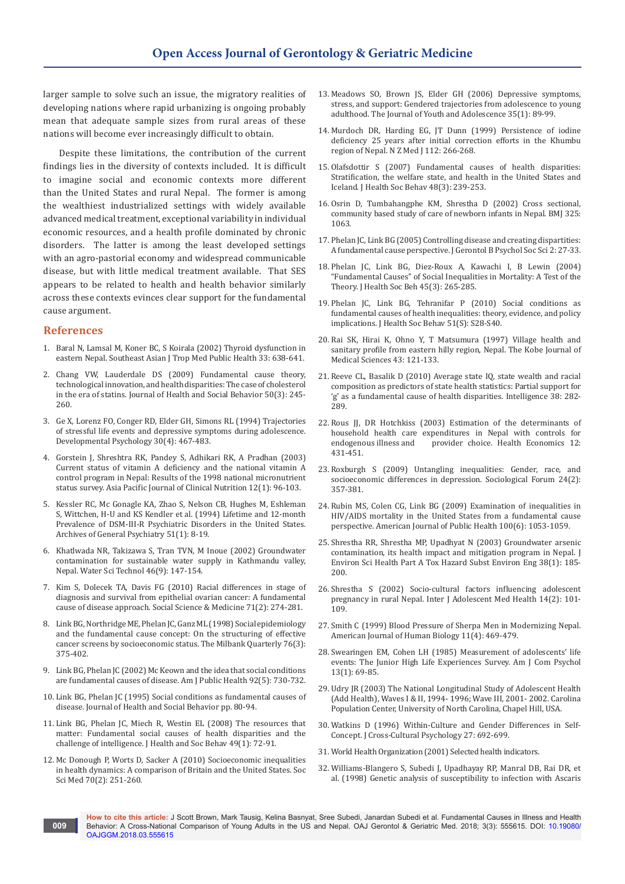larger sample to solve such an issue, the migratory realities of developing nations where rapid urbanizing is ongoing probably mean that adequate sample sizes from rural areas of these nations will become ever increasingly difficult to obtain.

Despite these limitations, the contribution of the current findings lies in the diversity of contexts included. It is difficult to imagine social and economic contexts more different than the United States and rural Nepal. The former is among the wealthiest industrialized settings with widely available advanced medical treatment, exceptional variability in individual economic resources, and a health profile dominated by chronic disorders. The latter is among the least developed settings with an agro-pastorial economy and widespread communicable disease, but with little medical treatment available. That SES appears to be related to health and health behavior similarly across these contexts evinces clear support for the fundamental cause argument.

#### **References**

- 1. [Baral N, Lamsal M, Koner BC, S Koirala \(2002\) Thyroid dysfunction in](https://www.ncbi.nlm.nih.gov/pubmed/12693603)  [eastern Nepal. Southeast Asian J Trop Med Public Health 33: 638-641.](https://www.ncbi.nlm.nih.gov/pubmed/12693603)
- 2. [Chang VW, Lauderdale DS \(2009\) Fundamental cause theory,](https://www.ncbi.nlm.nih.gov/pubmed/19711804)  [technological innovation, and health disparities: The case of cholesterol](https://www.ncbi.nlm.nih.gov/pubmed/19711804)  [in the era of statins. Journal of Health and Social Behavior 50\(3\): 245-](https://www.ncbi.nlm.nih.gov/pubmed/19711804) [260.](https://www.ncbi.nlm.nih.gov/pubmed/19711804)
- 3. [Ge X, Lorenz FO, Conger RD, Elder GH, Simons RL \(1994\) Trajectories](http://psycnet.apa.org/record/1994-37511-001)  [of stressful life events and depressive symptoms during adolescence.](http://psycnet.apa.org/record/1994-37511-001)  [Developmental Psychology 30\(4\): 467-483.](http://psycnet.apa.org/record/1994-37511-001)
- 4. [Gorstein J, Shreshtra RK, Pandey S, Adhikari RK, A Pradhan \(2003\)](https://www.ncbi.nlm.nih.gov/pubmed/12737018)  [Current status of vitamin A deficiency and the national vitamin A](https://www.ncbi.nlm.nih.gov/pubmed/12737018)  [control program in Nepal: Results of the 1998 national micronutrient](https://www.ncbi.nlm.nih.gov/pubmed/12737018)  [status survey. Asia Pacific Journal of Clinical Nutrition 12\(1\): 96-103.](https://www.ncbi.nlm.nih.gov/pubmed/12737018)
- 5. [Kessler RC, Mc Gonagle KA, Zhao S, Nelson CB, Hughes M, Eshleman](https://www.ncbi.nlm.nih.gov/pubmed/8279933)  [S, Wittchen, H-U and KS Kendler et al. \(1994\) Lifetime and 12-month](https://www.ncbi.nlm.nih.gov/pubmed/8279933)  [Prevalence of DSM-III-R Psychiatric Disorders in the United States.](https://www.ncbi.nlm.nih.gov/pubmed/8279933)  [Archives of General Psychiatry 51\(1\): 8-19.](https://www.ncbi.nlm.nih.gov/pubmed/8279933)
- 6. [Khatlwada NR, Takizawa S, Tran TVN, M Inoue \(2002\) Groundwater](https://www.ncbi.nlm.nih.gov/pubmed/12448463)  [contamination for sustainable water supply in Kathmandu valley,](https://www.ncbi.nlm.nih.gov/pubmed/12448463)  [Nepal. Water Sci Technol 46\(9\): 147-154.](https://www.ncbi.nlm.nih.gov/pubmed/12448463)
- 7. [Kim S, Dolecek TA, Davis FG \(2010\) Racial differences in stage of](https://www.ncbi.nlm.nih.gov/pubmed/20483517)  [diagnosis and survival from epithelial ovarian cancer: A fundamental](https://www.ncbi.nlm.nih.gov/pubmed/20483517)  [cause of disease approach. Social Science & Medicine 71\(2\): 274-281.](https://www.ncbi.nlm.nih.gov/pubmed/20483517)
- 8. [Link BG, Northridge ME, Phelan JC, Ganz ML \(1998\) Social epidemiology](https://www.ncbi.nlm.nih.gov/pubmed/9738168)  [and the fundamental cause concept: On the structuring of effective](https://www.ncbi.nlm.nih.gov/pubmed/9738168)  [cancer screens by socioeconomic status. The Milbank Quarterly 76\(3\):](https://www.ncbi.nlm.nih.gov/pubmed/9738168)  [375-402.](https://www.ncbi.nlm.nih.gov/pubmed/9738168)
- 9. [Link BG, Phelan JC \(2002\) Mc Keown and the idea that social conditions](https://www.ncbi.nlm.nih.gov/pubmed/11988436)  [are fundamental causes of disease. Am J Public Health 92\(5\): 730-732.](https://www.ncbi.nlm.nih.gov/pubmed/11988436)
- 10. Link BG, Phelan JC (1995) Social conditions as fundamental causes of disease. Journal of Health and Social Behavior pp. 80-94.
- 11. [Link BG, Phelan JC, Miech R, Westin EL \(2008\) The resources that](https://www.ncbi.nlm.nih.gov/pubmed/18418986)  [matter: Fundamental social causes of health disparities and the](https://www.ncbi.nlm.nih.gov/pubmed/18418986)  [challenge of intelligence. J Health and Soc Behav 49\(1\): 72-91.](https://www.ncbi.nlm.nih.gov/pubmed/18418986)
- 12. [Mc Donough P, Worts D, Sacker A \(2010\) Socioeconomic inequalities](https://www.ncbi.nlm.nih.gov/pubmed/19857919)  [in health dynamics: A comparison of Britain and the United States. Soc](https://www.ncbi.nlm.nih.gov/pubmed/19857919)  [Sci Med 70\(2\): 251-260.](https://www.ncbi.nlm.nih.gov/pubmed/19857919)
- 13. [Meadows SO, Brown JS, Elder GH \(2006\) Depressive symptoms,](https://link.springer.com/article/10.1007/s10964-005-9021-6)  [stress, and support: Gendered trajectories from adolescence to young](https://link.springer.com/article/10.1007/s10964-005-9021-6)  [adulthood. The Journal of Youth and Adolescence 35\(1\): 89-99.](https://link.springer.com/article/10.1007/s10964-005-9021-6)
- 14. [Murdoch DR, Harding EG, JT Dunn \(1999\) Persistence of iodine](https://www.ncbi.nlm.nih.gov/pubmed/10472889)  [deficiency 25 years after initial correction efforts in the Khumbu](https://www.ncbi.nlm.nih.gov/pubmed/10472889)  [region of Nepal. N Z Med J 112: 266-268.](https://www.ncbi.nlm.nih.gov/pubmed/10472889)
- 15. [Olafsdottir S \(2007\) Fundamental causes of health disparities:](https://www.ncbi.nlm.nih.gov/pubmed/17982866)  [Stratification, the welfare state, and health in the United States and](https://www.ncbi.nlm.nih.gov/pubmed/17982866)  [Iceland. J Health Soc Behav 48\(3\): 239-253.](https://www.ncbi.nlm.nih.gov/pubmed/17982866)
- 16. [Osrin D, Tumbahangphe KM, Shrestha D \(2002\) Cross sectional,](https://www.ncbi.nlm.nih.gov/pubmed/12424164)  [community based study of care of newborn infants in Nepal. BMJ 325:](https://www.ncbi.nlm.nih.gov/pubmed/12424164)  [1063.](https://www.ncbi.nlm.nih.gov/pubmed/12424164)
- 17. [Phelan JC, Link BG \(2005\) Controlling disease and creating dispartities:](https://www.ncbi.nlm.nih.gov/pubmed/16251587)  [A fundamental cause perspective. J Gerontol B Psychol Soc Sci 2: 27-33.](https://www.ncbi.nlm.nih.gov/pubmed/16251587)
- 18. [Phelan JC, Link BG, Diez-Roux A, Kawachi I, B Lewin \(2004\)](https://www.ncbi.nlm.nih.gov/pubmed/15595507)  ["Fundamental Causes" of Social Inequalities in Mortality: A Test of the](https://www.ncbi.nlm.nih.gov/pubmed/15595507)  [Theory. J Health Soc Beh 45\(3\): 265-285.](https://www.ncbi.nlm.nih.gov/pubmed/15595507)
- 19. [Phelan JC, Link BG, Tehranifar P \(2010\) Social conditions as](https://www.ncbi.nlm.nih.gov/pubmed/20943581)  [fundamental causes of health inequalities: theory, evidence, and policy](https://www.ncbi.nlm.nih.gov/pubmed/20943581)  [implications. J Health Soc Behav 51\(S\): S28-S40.](https://www.ncbi.nlm.nih.gov/pubmed/20943581)
- 20. [Rai SK, Hirai K, Ohno Y, T Matsumura \(1997\) Village health and](https://www.ncbi.nlm.nih.gov/pubmed/9489297)  [sanitary profile from eastern hilly region, Nepal. The Kobe Journal of](https://www.ncbi.nlm.nih.gov/pubmed/9489297)  [Medical Sciences 43: 121-133.](https://www.ncbi.nlm.nih.gov/pubmed/9489297)
- 21. [Reeve CL, Basalik D \(2010\) Average state IQ, state wealth and racial](https://www.sciencedirect.com/science/article/pii/S0160289609001536)  [composition as predictors of state health statistics: Partial support for](https://www.sciencedirect.com/science/article/pii/S0160289609001536)  ['g' as a fundamental cause of health disparities. Intelligence 38: 282-](https://www.sciencedirect.com/science/article/pii/S0160289609001536) [289.](https://www.sciencedirect.com/science/article/pii/S0160289609001536)
- 22. [Rous JJ, DR Hotchkiss \(2003\) Estimation of the determinants of](https://www.ncbi.nlm.nih.gov/pubmed/12759914)  [household health care expenditures in Nepal with controls for](https://www.ncbi.nlm.nih.gov/pubmed/12759914)  provider choice. Health Economics 12: [431-451.](https://www.ncbi.nlm.nih.gov/pubmed/12759914)
- 23. [Roxburgh S \(2009\) Untangling inequalities: Gender, race, and](http://onlinelibrary.wiley.com/doi/10.1111/j.1573-7861.2009.01103.x/full)  [socioeconomic differences in depression. Sociological Forum 24\(2\):](http://onlinelibrary.wiley.com/doi/10.1111/j.1573-7861.2009.01103.x/full)  [357-381.](http://onlinelibrary.wiley.com/doi/10.1111/j.1573-7861.2009.01103.x/full)
- 24. [Rubin MS, Colen CG, Link BG \(2009\) Examination of inequalities in](https://www.ncbi.nlm.nih.gov/pmc/articles/PMC2866621/)  [HIV/AIDS mortality in the United States from a fundamental cause](https://www.ncbi.nlm.nih.gov/pmc/articles/PMC2866621/)  [perspective. American Journal of Public Health 100\(6\): 1053-1059.](https://www.ncbi.nlm.nih.gov/pmc/articles/PMC2866621/)
- 25. [Shrestha RR, Shrestha MP, Upadhyat N \(2003\) Groundwater arsenic](https://www.ncbi.nlm.nih.gov/pubmed/12635826)  [contamination, its health impact and mitigation program in Nepal. J](https://www.ncbi.nlm.nih.gov/pubmed/12635826)  [Environ Sci Health Part A Tox Hazard Subst Environ Eng 38\(1\): 185-](https://www.ncbi.nlm.nih.gov/pubmed/12635826) [200.](https://www.ncbi.nlm.nih.gov/pubmed/12635826)
- 26. [Shrestha S \(2002\) Socio-cultural factors influencing adolescent](https://www.degruyter.com/view/j/ijamh.2002.14.2/ijamh.2002.14.2.101/ijamh.2002.14.2.101.xml)  [pregnancy in rural Nepal. Inter J Adolescent Med Health 14\(2\): 101-](https://www.degruyter.com/view/j/ijamh.2002.14.2/ijamh.2002.14.2.101/ijamh.2002.14.2.101.xml) [109.](https://www.degruyter.com/view/j/ijamh.2002.14.2/ijamh.2002.14.2.101/ijamh.2002.14.2.101.xml)
- 27. [Smith C \(1999\) Blood Pressure of Sherpa Men in Modernizing Nepal.](https://www.ncbi.nlm.nih.gov/pubmed/11533966)  [American Journal of Human Biology 11\(4\): 469-479.](https://www.ncbi.nlm.nih.gov/pubmed/11533966)
- 28. [Swearingen EM, Cohen LH \(1985\) Measurement of adolescents' life](https://www.ncbi.nlm.nih.gov/pubmed/3969968)  [events: The Junior High Life Experiences Survey. Am J Com Psychol](https://www.ncbi.nlm.nih.gov/pubmed/3969968)  [13\(1\): 69-85.](https://www.ncbi.nlm.nih.gov/pubmed/3969968)
- 29. [Udry JR \(2003\) The National Longitudinal Study of Adolescent Health](https://www.google.co.in/url?sa=t&rct=j&q=&esrc=s&source=web&cd=3&ved=0ahUKEwiizem5u7vZAhVCspQKHb9qBM0QFghFMAI&url=http%3A%2F%2Fwww.disc.wisc.edu%2FCodebooks%2Fqg-067-002.pdf&usg=AOvVaw0YwRsJXN-kleKMDGXeA8pW)  [\(Add Health\), Waves I & II, 1994- 1996; Wave III, 2001- 2002. Carolina](https://www.google.co.in/url?sa=t&rct=j&q=&esrc=s&source=web&cd=3&ved=0ahUKEwiizem5u7vZAhVCspQKHb9qBM0QFghFMAI&url=http%3A%2F%2Fwww.disc.wisc.edu%2FCodebooks%2Fqg-067-002.pdf&usg=AOvVaw0YwRsJXN-kleKMDGXeA8pW)  [Population Center, University of North Carolina, Chapel Hill, USA.](https://www.google.co.in/url?sa=t&rct=j&q=&esrc=s&source=web&cd=3&ved=0ahUKEwiizem5u7vZAhVCspQKHb9qBM0QFghFMAI&url=http%3A%2F%2Fwww.disc.wisc.edu%2FCodebooks%2Fqg-067-002.pdf&usg=AOvVaw0YwRsJXN-kleKMDGXeA8pW)
- 30. Watkins D (1996) Within-Culture and Gender Differences in Self-Concept. J Cross-Cultural Psychology 27: 692-699.
- 31. [World Health Organization \(2001\) Selected health indicators.](http://www3.who.int/whosis/country/indicators.cfm?country=npl)
- 32. [Williams-Blangero S, Subedi J, Upadhayay RP, Manral DB, Rai DR, et](https://www.ncbi.nlm.nih.gov/pubmed/10403321)  [al. \(1998\) Genetic analysis of susceptibility to infection with Ascaris](https://www.ncbi.nlm.nih.gov/pubmed/10403321)